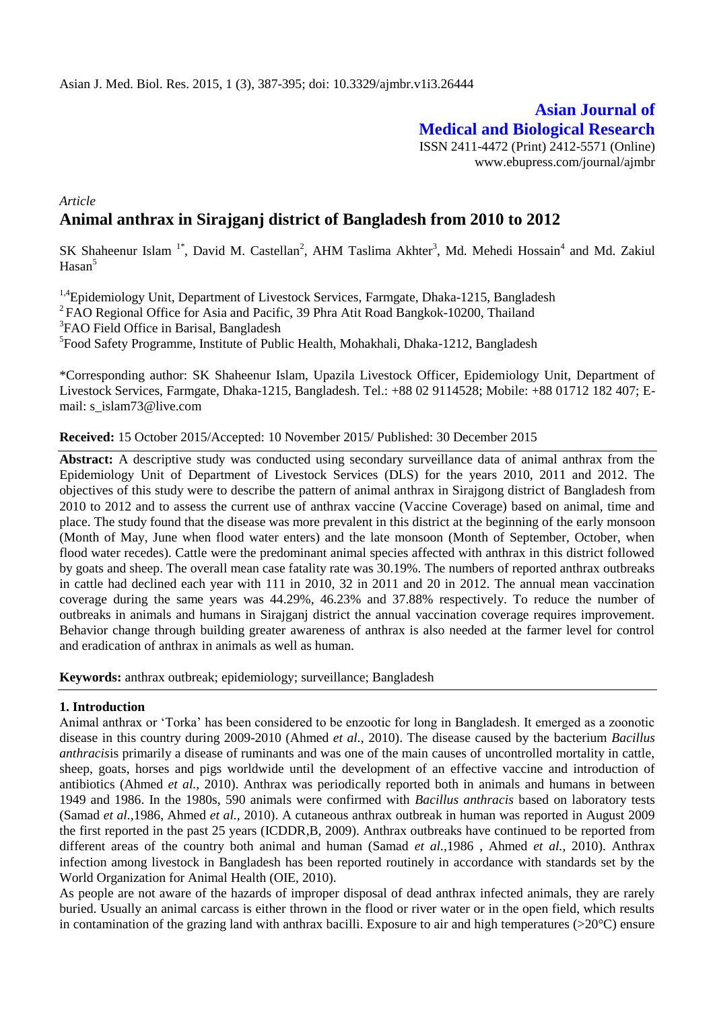# **Asian Journal of Medical and Biological Research** ISSN 2411-4472 (Print) 2412-5571 (Online) www.ebupress.com/journal/ajmbr

*Article* **Animal anthrax in Sirajganj district of Bangladesh from 2010 to 2012**

SK Shaheenur Islam<sup>1\*</sup>, David M. Castellan<sup>2</sup>, AHM Taslima Akhter<sup>3</sup>, Md. Mehedi Hossain<sup>4</sup> and Md. Zakiul  $Hasan<sup>5</sup>$ 

<sup>1,4</sup>Epidemiology Unit, Department of Livestock Services, Farmgate, Dhaka-1215, Bangladesh <sup>2</sup>FAO Regional Office for Asia and Pacific, 39 Phra Atit Road Bangkok-10200, Thailand <sup>3</sup>FAO Field Office in Barisal, Bangladesh

5 Food Safety Programme, Institute of Public Health, Mohakhali, Dhaka-1212, Bangladesh

\*Corresponding author: SK Shaheenur Islam, Upazila Livestock Officer, Epidemiology Unit, Department of Livestock Services, Farmgate, Dhaka-1215, Bangladesh. Tel.: +88 02 9114528; Mobile: +88 01712 182 407; Email: s\_islam73@live.com

**Received:** 15 October 2015/Accepted: 10 November 2015/ Published: 30 December 2015

**Abstract:** A descriptive study was conducted using secondary surveillance data of animal anthrax from the Epidemiology Unit of Department of Livestock Services (DLS) for the years 2010, 2011 and 2012. The objectives of this study were to describe the pattern of animal anthrax in Sirajgong district of Bangladesh from 2010 to 2012 and to assess the current use of anthrax vaccine (Vaccine Coverage) based on animal, time and place. The study found that the disease was more prevalent in this district at the beginning of the early monsoon (Month of May, June when flood water enters) and the late monsoon (Month of September, October, when flood water recedes). Cattle were the predominant animal species affected with anthrax in this district followed by goats and sheep. The overall mean case fatality rate was 30.19%. The numbers of reported anthrax outbreaks in cattle had declined each year with 111 in 2010, 32 in 2011 and 20 in 2012. The annual mean vaccination coverage during the same years was 44.29%, 46.23% and 37.88% respectively. To reduce the number of outbreaks in animals and humans in Sirajganj district the annual vaccination coverage requires improvement. Behavior change through building greater awareness of anthrax is also needed at the farmer level for control and eradication of anthrax in animals as well as human.

**Keywords:** anthrax outbreak; epidemiology; surveillance; Bangladesh

### **1. Introduction**

Animal anthrax or 'Torka' has been considered to be enzootic for long in Bangladesh. It emerged as a zoonotic disease in this country during 2009-2010 (Ahmed *et al.,* 2010). The disease caused by the bacterium *Bacillus anthracis*is primarily a disease of ruminants and was one of the main causes of uncontrolled mortality in cattle, sheep, goats, horses and pigs worldwide until the development of an effective vaccine and introduction of antibiotics (Ahmed *et al.,* 2010). Anthrax was periodically reported both in animals and humans in between 1949 and 1986. In the 1980s, 590 animals were confirmed with *Bacillus anthracis* based on laboratory tests (Samad *et al.,*1986, Ahmed *et al.,* 2010). A cutaneous anthrax outbreak in human was reported in August 2009 the first reported in the past 25 years (ICDDR,B, 2009). Anthrax outbreaks have continued to be reported from different areas of the country both animal and human (Samad *et al.,*1986 , Ahmed *et al.,* 2010). Anthrax infection among livestock in Bangladesh has been reported routinely in accordance with standards set by the World Organization for Animal Health (OIE, 2010).

As people are not aware of the hazards of improper disposal of dead anthrax infected animals, they are rarely buried. Usually an animal carcass is either thrown in the flood or river water or in the open field, which results in contamination of the grazing land with anthrax bacilli. Exposure to air and high temperatures (>20°C) ensure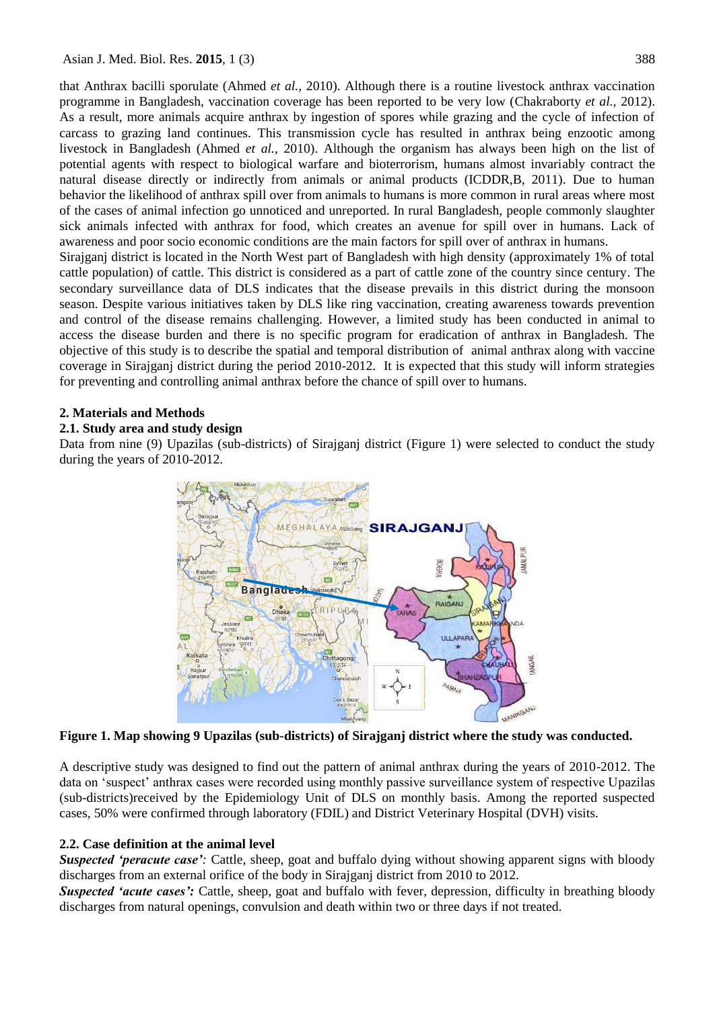Asian J. Med. Biol. Res. **2015**, 1 (3) 388

that Anthrax bacilli sporulate (Ahmed *et al.,* 2010). Although there is a routine livestock anthrax vaccination programme in Bangladesh, vaccination coverage has been reported to be very low [\(Chakraborty](http://www.ncbi.nlm.nih.gov/pubmed/?term=Chakraborty%20A%5Bauth%5D) *et al.,* 2012). As a result, more animals acquire anthrax by ingestion of spores while grazing and the cycle of infection of carcass to grazing land continues. This transmission cycle has resulted in anthrax being enzootic among livestock in Bangladesh (Ahmed *et al.,* 2010). Although the organism has always been high on the list of potential agents with respect to biological warfare and bioterrorism, humans almost invariably contract the natural disease directly or indirectly from animals or animal products (ICDDR,B, 2011). Due to human behavior the likelihood of anthrax spill over from animals to humans is more common in rural areas where most of the cases of animal infection go unnoticed and unreported. In rural Bangladesh, people commonly slaughter sick animals infected with anthrax for food, which creates an avenue for spill over in humans. Lack of awareness and poor socio economic conditions are the main factors for spill over of anthrax in humans.

Sirajganj district is located in the North West part of Bangladesh with high density (approximately 1% of total cattle population) of cattle. This district is considered as a part of cattle zone of the country since century. The secondary surveillance data of DLS indicates that the disease prevails in this district during the monsoon season. Despite various initiatives taken by DLS like ring vaccination, creating awareness towards prevention and control of the disease remains challenging. However, a limited study has been conducted in animal to access the disease burden and there is no specific program for eradication of anthrax in Bangladesh. The objective of this study is to describe the spatial and temporal distribution of animal anthrax along with vaccine coverage in Sirajganj district during the period 2010-2012. It is expected that this study will inform strategies for preventing and controlling animal anthrax before the chance of spill over to humans.

## **2. Materials and Methods**

### **2.1. Study area and study design**

Data from nine (9) Upazilas (sub-districts) of Sirajganj district (Figure 1) were selected to conduct the study during the years of 2010-2012.



**Figure 1. Map showing 9 Upazilas (sub-districts) of Sirajganj district where the study was conducted.**

A descriptive study was designed to find out the pattern of animal anthrax during the years of 2010-2012. The data on 'suspect' anthrax cases were recorded using monthly passive surveillance system of respective Upazilas (sub-districts)received by the Epidemiology Unit of DLS on monthly basis. Among the reported suspected cases, 50% were confirmed through laboratory (FDIL) and District Veterinary Hospital (DVH) visits.

# **2.2. Case definition at the animal level**

*Suspected 'peracute case'*: Cattle, sheep, goat and buffalo dying without showing apparent signs with bloody discharges from an external orifice of the body in Sirajganj district from 2010 to 2012.

**Suspected 'acute cases':** Cattle, sheep, goat and buffalo with fever, depression, difficulty in breathing bloody discharges from natural openings, convulsion and death within two or three days if not treated.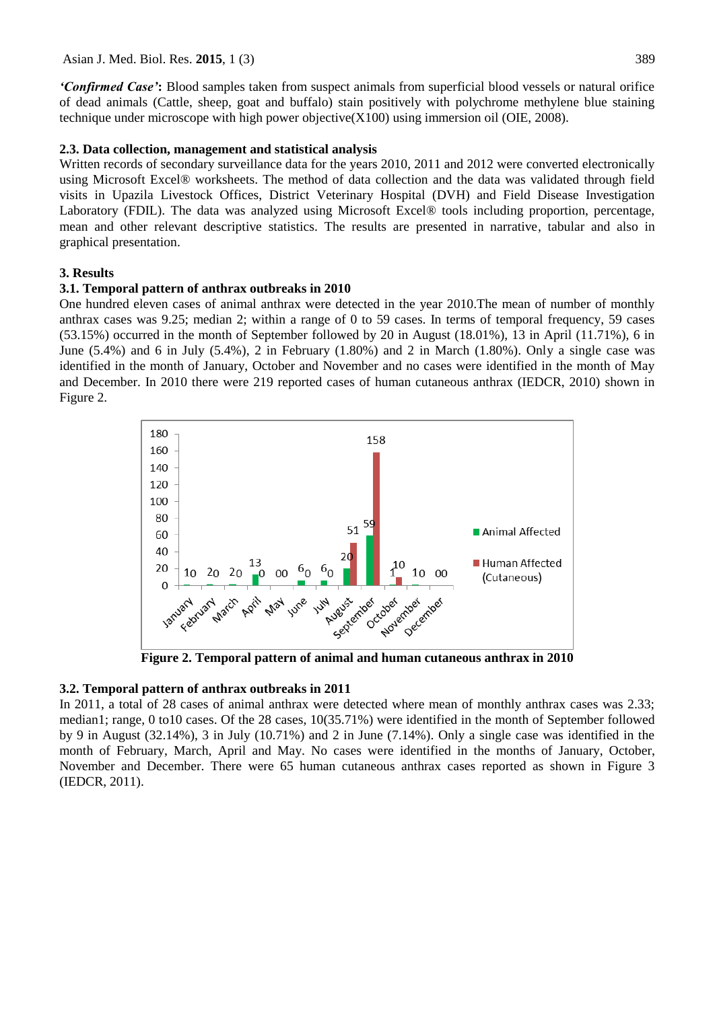*'Confirmed Case'***:** Blood samples taken from suspect animals from superficial blood vessels or natural orifice of dead animals (Cattle, sheep, goat and buffalo) stain positively with polychrome methylene blue staining technique under microscope with high power objective $(X100)$  using immersion oil (OIE, 2008).

### **2.3. Data collection, management and statistical analysis**

Written records of secondary surveillance data for the years 2010, 2011 and 2012 were converted electronically using Microsoft Excel® worksheets. The method of data collection and the data was validated through field visits in Upazila Livestock Offices, District Veterinary Hospital (DVH) and Field Disease Investigation Laboratory (FDIL). The data was analyzed using Microsoft Excel® tools including proportion, percentage, mean and other relevant descriptive statistics. The results are presented in narrative, tabular and also in graphical presentation.

### **3. Results**

### **3.1. Temporal pattern of anthrax outbreaks in 2010**

One hundred eleven cases of animal anthrax were detected in the year 2010.The mean of number of monthly anthrax cases was 9.25; median 2; within a range of 0 to 59 cases. In terms of temporal frequency, 59 cases (53.15%) occurred in the month of September followed by 20 in August (18.01%), 13 in April (11.71%), 6 in June (5.4%) and 6 in July (5.4%), 2 in February (1.80%) and 2 in March (1.80%). Only a single case was identified in the month of January, October and November and no cases were identified in the month of May and December. In 2010 there were 219 reported cases of human cutaneous anthrax (IEDCR, 2010) shown in Figure 2.



**Figure 2. Temporal pattern of animal and human cutaneous anthrax in 2010**

### **3.2. Temporal pattern of anthrax outbreaks in 2011**

In 2011, a total of 28 cases of animal anthrax were detected where mean of monthly anthrax cases was 2.33; median1; range, 0 to10 cases. Of the 28 cases, 10(35.71%) were identified in the month of September followed by 9 in August (32.14%), 3 in July (10.71%) and 2 in June (7.14%). Only a single case was identified in the month of February, March, April and May. No cases were identified in the months of January, October, November and December. There were 65 human cutaneous anthrax cases reported as shown in Figure 3 (IEDCR, 2011).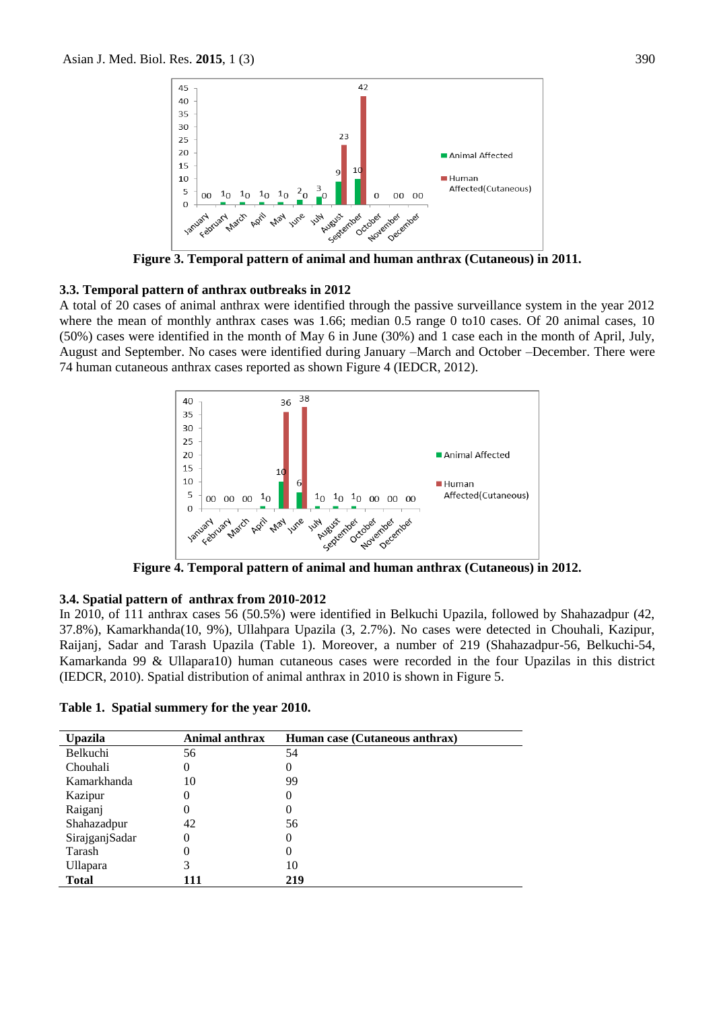

**Figure 3. Temporal pattern of animal and human anthrax (Cutaneous) in 2011.**

### **3.3. Temporal pattern of anthrax outbreaks in 2012**

A total of 20 cases of animal anthrax were identified through the passive surveillance system in the year 2012 where the mean of monthly anthrax cases was 1.66; median 0.5 range 0 to10 cases. Of 20 animal cases, 10 (50%) cases were identified in the month of May 6 in June (30%) and 1 case each in the month of April, July, August and September. No cases were identified during January –March and October –December. There were 74 human cutaneous anthrax cases reported as shown Figure 4 (IEDCR, 2012).



**Figure 4. Temporal pattern of animal and human anthrax (Cutaneous) in 2012.**

### **3.4. Spatial pattern of anthrax from 2010-2012**

In 2010, of 111 anthrax cases 56 (50.5%) were identified in Belkuchi Upazila, followed by Shahazadpur (42, 37.8%), Kamarkhanda(10, 9%), Ullahpara Upazila (3, 2.7%). No cases were detected in Chouhali, Kazipur, Raijanj, Sadar and Tarash Upazila (Table 1). Moreover, a number of 219 (Shahazadpur-56, Belkuchi-54, Kamarkanda 99 & Ullapara10) human cutaneous cases were recorded in the four Upazilas in this district (IEDCR, 2010). Spatial distribution of animal anthrax in 2010 is shown in Figure 5.

| <b>Upazila</b> | Animal anthrax | Human case (Cutaneous anthrax) |
|----------------|----------------|--------------------------------|
| Belkuchi       | 56             | 54                             |
| Chouhali       | 0              | 0                              |
| Kamarkhanda    | 10             | 99                             |
| Kazipur        | 0              | 0                              |
| Raiganj        | 0              | 0                              |
| Shahazadpur    | 42             | 56                             |
| SirajganjSadar | 0              | 0                              |
| Tarash         | 0              | 0                              |
| Ullapara       | 3              | 10                             |
| <b>Total</b>   | 111            | 219                            |

**Table 1. Spatial summery for the year 2010.**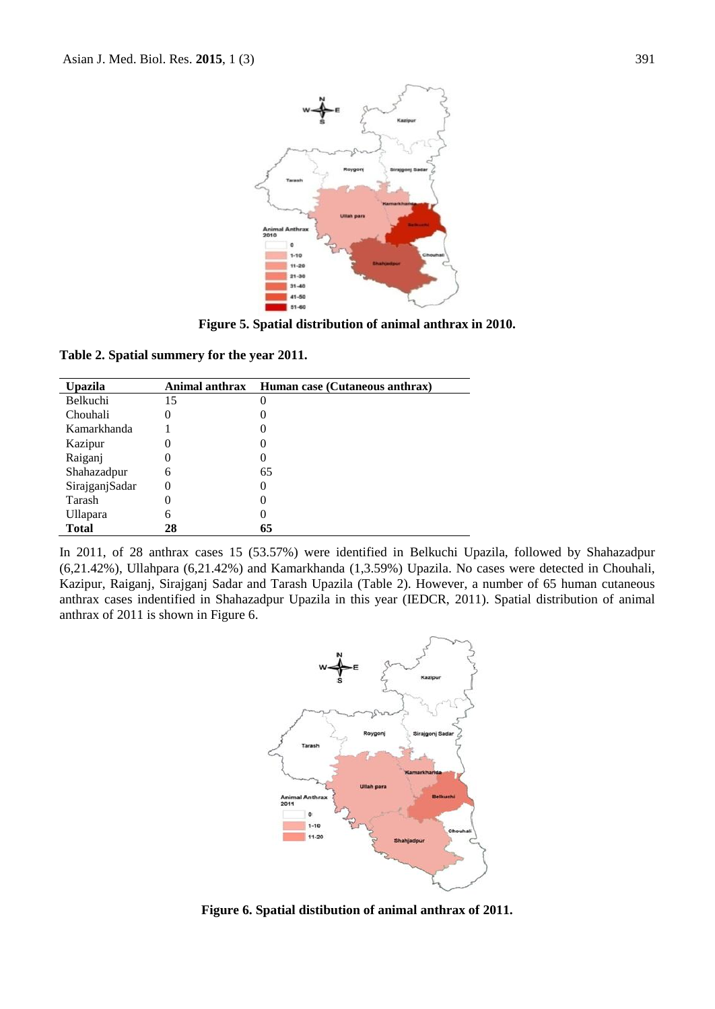

**Figure 5. Spatial distribution of animal anthrax in 2010.**

**Table 2. Spatial summery for the year 2011.**

| Upazila         | Animal anthrax | Human case (Cutaneous anthrax) |
|-----------------|----------------|--------------------------------|
| Belkuchi        | 15             | 0                              |
| Chouhali        |                | O                              |
| Kamarkhanda     |                |                                |
| Kazipur         |                |                                |
| Raiganj         |                |                                |
| Shahazadpur     | 6              | 65                             |
| SirajganjSadar  | $\theta$       | $\theta$                       |
| Tarash          |                |                                |
| <b>Ullapara</b> | 6              |                                |
| <b>Total</b>    | 28             | 65                             |

In 2011, of 28 anthrax cases 15 (53.57%) were identified in Belkuchi Upazila, followed by Shahazadpur (6,21.42%), Ullahpara (6,21.42%) and Kamarkhanda (1,3.59%) Upazila. No cases were detected in Chouhali, Kazipur, Raiganj, Sirajganj Sadar and Tarash Upazila (Table 2). However, a number of 65 human cutaneous anthrax cases indentified in Shahazadpur Upazila in this year (IEDCR, 2011). Spatial distribution of animal anthrax of 2011 is shown in Figure 6.



**Figure 6. Spatial distibution of animal anthrax of 2011.**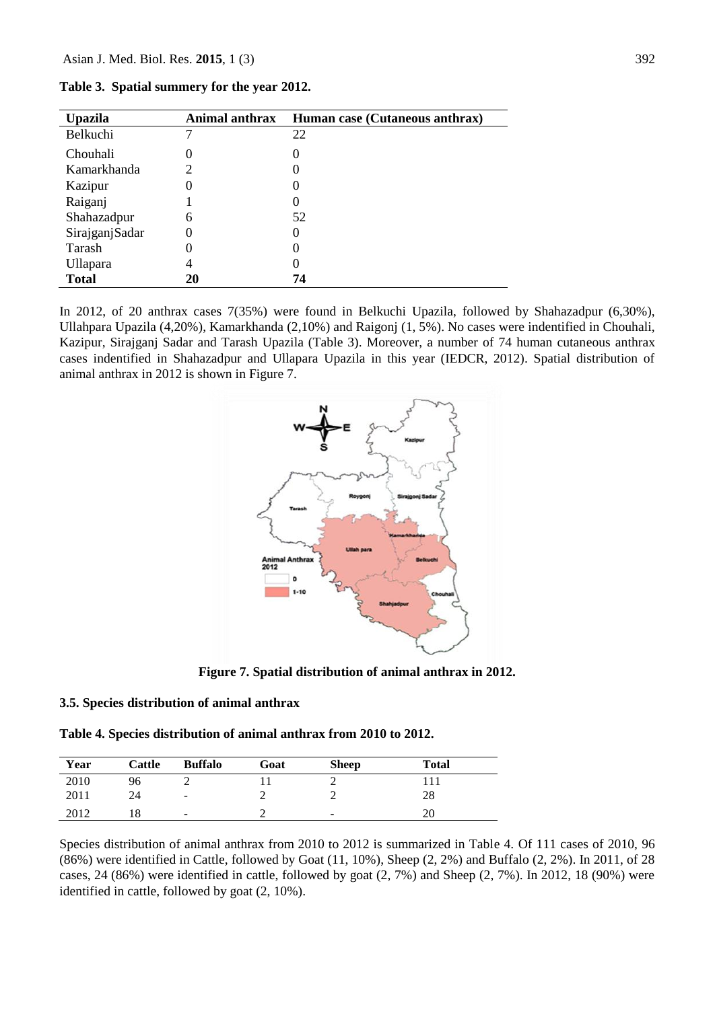| <b>Upazila</b> | Animal anthrax | Human case (Cutaneous anthrax) |
|----------------|----------------|--------------------------------|
| Belkuchi       |                | 22                             |
| Chouhali       | $\Omega$       | 0                              |
| Kamarkhanda    |                | O                              |
| Kazipur        |                | 0                              |
| Raiganj        |                | O                              |
| Shahazadpur    | 6              | 52                             |
| SirajganjSadar | $\Omega$       | 0                              |
| Tarash         |                | 0                              |
| Ullapara       | 4              | 0                              |
| Total          | 20             | 74                             |

**Table 3. Spatial summery for the year 2012.**

In 2012, of 20 anthrax cases 7(35%) were found in Belkuchi Upazila, followed by Shahazadpur (6,30%), Ullahpara Upazila (4,20%), Kamarkhanda (2,10%) and Raigonj (1, 5%). No cases were indentified in Chouhali, Kazipur, Sirajganj Sadar and Tarash Upazila (Table 3). Moreover, a number of 74 human cutaneous anthrax cases indentified in Shahazadpur and Ullapara Upazila in this year (IEDCR, 2012). Spatial distribution of animal anthrax in 2012 is shown in Figure 7.



**Figure 7. Spatial distribution of animal anthrax in 2012.**

#### **3.5. Species distribution of animal anthrax**

| Table 4. Species distribution of animal anthrax from 2010 to 2012. |
|--------------------------------------------------------------------|
|--------------------------------------------------------------------|

| Year | Cattle | <b>Buffalo</b>           | Goat | <b>Sheep</b>             | <b>Total</b> |
|------|--------|--------------------------|------|--------------------------|--------------|
| 2010 | 96     |                          |      |                          |              |
| 2011 | 24     | $\overline{\phantom{a}}$ |      |                          | 28           |
| 2012 |        | $\qquad \qquad -$        |      | $\overline{\phantom{a}}$ | 20           |

Species distribution of animal anthrax from 2010 to 2012 is summarized in Table 4. Of 111 cases of 2010, 96 (86%) were identified in Cattle, followed by Goat (11, 10%), Sheep (2, 2%) and Buffalo (2, 2%). In 2011, of 28 cases, 24 (86%) were identified in cattle, followed by goat (2, 7%) and Sheep (2, 7%). In 2012, 18 (90%) were identified in cattle, followed by goat (2, 10%).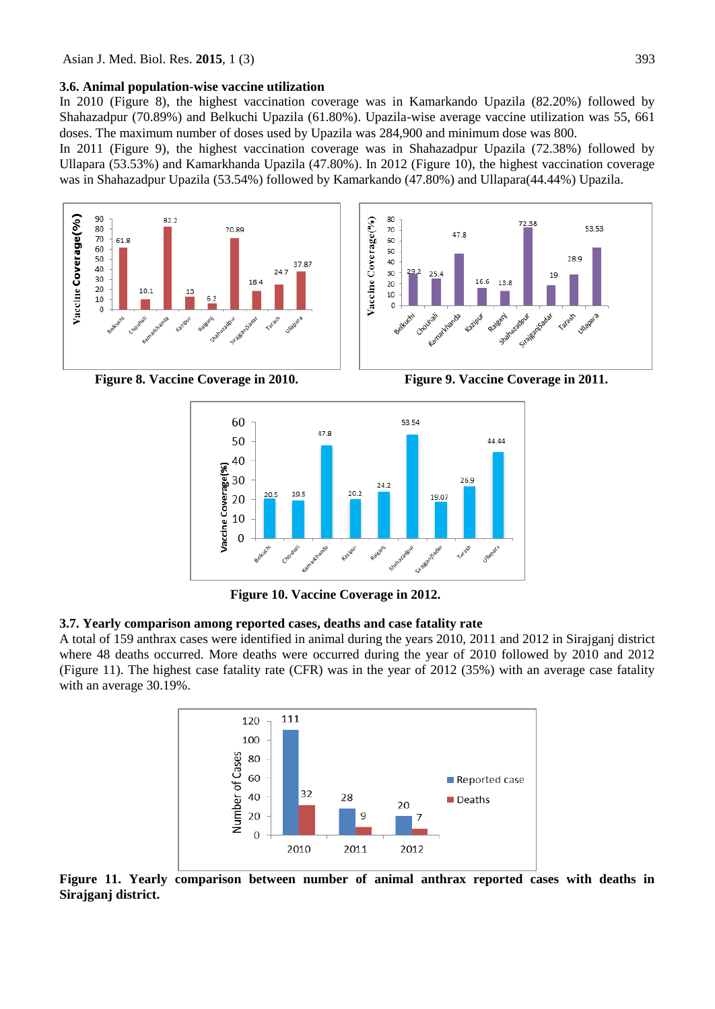#### **3.6. Animal population-wise vaccine utilization**

In 2010 (Figure 8), the highest vaccination coverage was in Kamarkando Upazila (82.20%) followed by Shahazadpur (70.89%) and Belkuchi Upazila (61.80%). Upazila-wise average vaccine utilization was 55, 661 doses. The maximum number of doses used by Upazila was 284,900 and minimum dose was 800.

In 2011 (Figure 9), the highest vaccination coverage was in Shahazadpur Upazila (72.38%) followed by Ullapara (53.53%) and Kamarkhanda Upazila (47.80%). In 2012 (Figure 10), the highest vaccination coverage was in Shahazadpur Upazila (53.54%) followed by Kamarkando (47.80%) and Ullapara(44.44%) Upazila.





**Figure 8. Vaccine Coverage in 2010. Figure 9. Vaccine Coverage in 2011.**



**Figure 10. Vaccine Coverage in 2012.** 

### **3.7. Yearly comparison among reported cases, deaths and case fatality rate**

A total of 159 anthrax cases were identified in animal during the years 2010, 2011 and 2012 in Sirajganj district where 48 deaths occurred. More deaths were occurred during the year of 2010 followed by 2010 and 2012 (Figure 11). The highest case fatality rate (CFR) was in the year of 2012 (35%) with an average case fatality with an average 30.19%.



**Figure 11. Yearly comparison between number of animal anthrax reported cases with deaths in Sirajganj district.**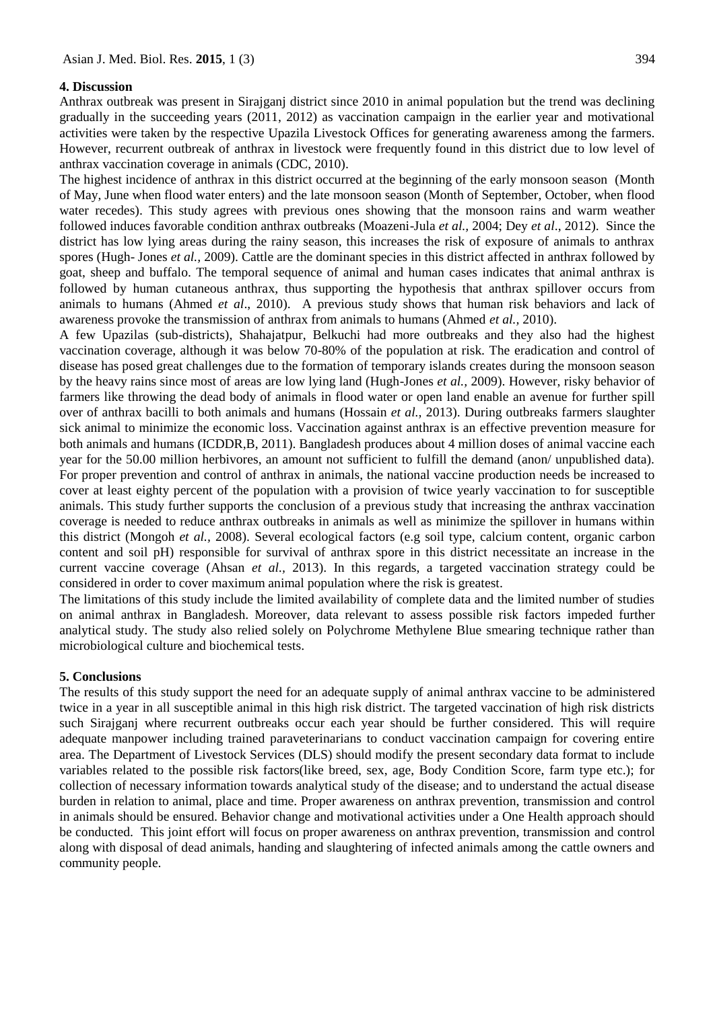### **4. Discussion**

Anthrax outbreak was present in Sirajganj district since 2010 in animal population but the trend was declining gradually in the succeeding years (2011, 2012) as vaccination campaign in the earlier year and motivational activities were taken by the respective Upazila Livestock Offices for generating awareness among the farmers. However, recurrent outbreak of anthrax in livestock were frequently found in this district due to low level of anthrax vaccination coverage in animals (CDC, 2010).

The highest incidence of anthrax in this district occurred at the beginning of the early monsoon season (Month of May, June when flood water enters) and the late monsoon season (Month of September, October, when flood water recedes). This study agrees with previous ones showing that the monsoon rains and warm weather followed induces favorable condition anthrax outbreaks (Moazeni-Jula *et al.,* 2004; Dey *et al*., 2012). Since the district has low lying areas during the rainy season, this increases the risk of exposure of animals to anthrax spores (Hugh- Jones *et al.,* 2009). Cattle are the dominant species in this district affected in anthrax followed by goat, sheep and buffalo. The temporal sequence of animal and human cases indicates that animal anthrax is followed by human cutaneous anthrax, thus supporting the hypothesis that anthrax spillover occurs from animals to humans (Ahmed *et al*., 2010). A previous study shows that human risk behaviors and lack of awareness provoke the transmission of anthrax from animals to humans (Ahmed *et al.,* 2010).

A few Upazilas (sub-districts), Shahajatpur, Belkuchi had more outbreaks and they also had the highest vaccination coverage, although it was below 70-80% of the population at risk. The eradication and control of disease has posed great challenges due to the formation of temporary islands creates during the monsoon season by the heavy rains since most of areas are low lying land (Hugh-Jones *et al.,* 2009). However, risky behavior of farmers like throwing the dead body of animals in flood water or open land enable an avenue for further spill over of anthrax bacilli to both animals and humans (Hossain *et al.,* 2013). During outbreaks farmers slaughter sick animal to minimize the economic loss. Vaccination against anthrax is an effective prevention measure for both animals and humans (ICDDR,B, 2011). Bangladesh produces about 4 million doses of animal vaccine each year for the 50.00 million herbivores, an amount not sufficient to fulfill the demand (anon/ unpublished data). For proper prevention and control of anthrax in animals, the national vaccine production needs be increased to cover at least eighty percent of the population with a provision of twice yearly vaccination to for susceptible animals. This study further supports the conclusion of a previous study that increasing the anthrax vaccination coverage is needed to reduce anthrax outbreaks in animals as well as minimize the spillover in humans within this district (Mongoh *et al.,* 2008). Several ecological factors (e.g soil type, calcium content, organic carbon content and soil pH) responsible for survival of anthrax spore in this district necessitate an increase in the current vaccine coverage (Ahsan *et al.,* 2013). In this regards, a targeted vaccination strategy could be considered in order to cover maximum animal population where the risk is greatest.

The limitations of this study include the limited availability of complete data and the limited number of studies on animal anthrax in Bangladesh. Moreover, data relevant to assess possible risk factors impeded further analytical study. The study also relied solely on Polychrome Methylene Blue smearing technique rather than microbiological culture and biochemical tests.

#### **5. Conclusions**

The results of this study support the need for an adequate supply of animal anthrax vaccine to be administered twice in a year in all susceptible animal in this high risk district. The targeted vaccination of high risk districts such Sirajganj where recurrent outbreaks occur each year should be further considered. This will require adequate manpower including trained paraveterinarians to conduct vaccination campaign for covering entire area. The Department of Livestock Services (DLS) should modify the present secondary data format to include variables related to the possible risk factors(like breed, sex, age, Body Condition Score, farm type etc.); for collection of necessary information towards analytical study of the disease; and to understand the actual disease burden in relation to animal, place and time. Proper awareness on anthrax prevention, transmission and control in animals should be ensured. Behavior change and motivational activities under a One Health approach should be conducted. This joint effort will focus on proper awareness on anthrax prevention, transmission and control along with disposal of dead animals, handing and slaughtering of infected animals among the cattle owners and community people.